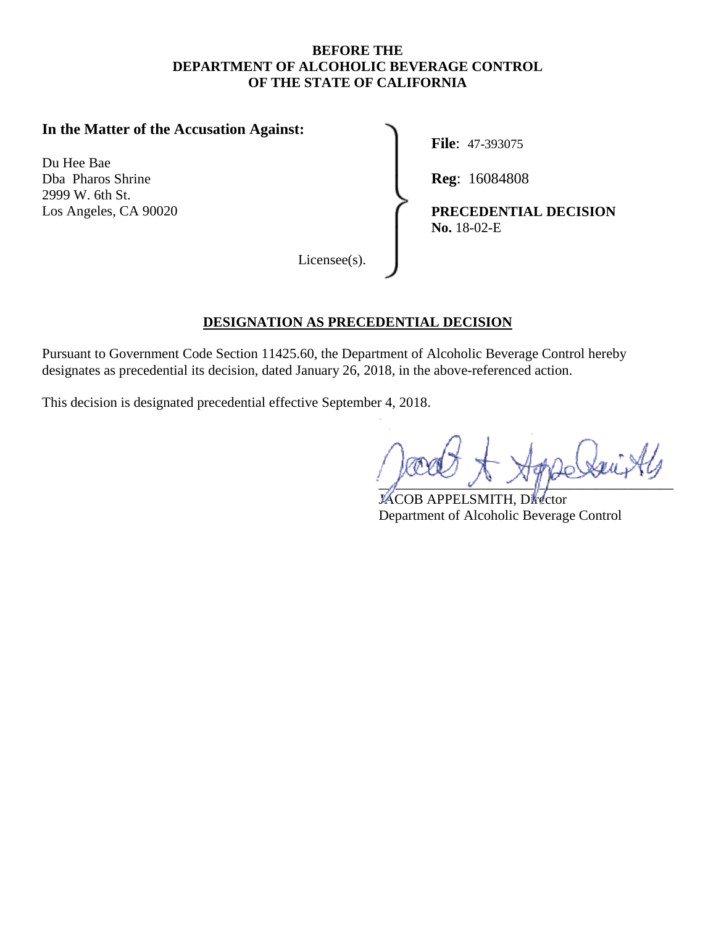#### **BEFORE THE DEPARTMENT OF ALCOHOLIC BEVERAGE CONTROL OF THE STATE OF CALIFORNIA**

## **In the Matter of the Accusation Against:**

Du Hee Bae Dba Pharos Shrine **Reg:** 16084808 2999 W. 6th St.

**File**: 47-393075

Los Angeles, CA 90020 **PRECEDENTIAL DECISION No.** 18-02-E

Licensee(s).

#### **DESIGNATION AS PRECEDENTIAL DECISION**

Pursuant to Government Code Section [11425.60,](https://11425.60) the Department of Alcoholic Beverage Control hereby designates as precedential its decision, dated January 26, 2018, in the above-referenced action.

This decision is designated precedential effective September 4, 2018.

 $\frac{1}{\sqrt{2\pi}}$ 

JACOB APPELSMITH, Director Department of Alcoholic Beverage Control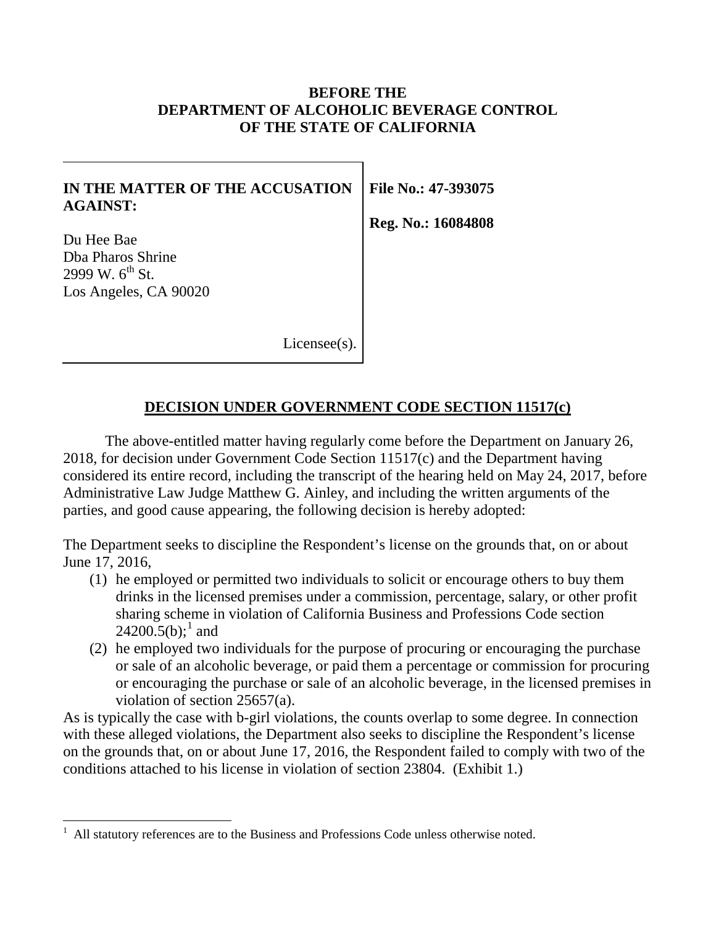## **BEFORE THE DEPARTMENT OF ALCOHOLIC BEVERAGE CONTROL OF THE STATE OF CALIFORNIA**

### **IN THE MATTER OF THE ACCUSATION AGAINST:**

Du Hee Bae Dba Pharos Shrine 2999 W.  $6^{th}$  St. Los Angeles, CA 90020 **File No.: 47-393075** 

**Reg. No.: 16084808** 

Licensee(s).

## **DECISION UNDER GOVERNMENT CODE SECTION 11517(c)**

The above-entitled matter having regularly come before the Department on January 26, 2018, for decision under Government Code Section 11517(c) and the Department having considered its entire record, including the transcript of the hearing held on May 24, 2017, before Administrative Law Judge Matthew G. Ainley, and including the written arguments of the parties, and good cause appearing, the following decision is hereby adopted:

The Department seeks to discipline the Respondent's license on the grounds that, on or about June 17, 2016,

- (1) he employed or permitted two individuals to solicit or encourage others to buy them drinks in the licensed premises under a commission, percentage, salary, or other profit sharing scheme in violation of California Business and Professions Code section  $24200.5(b)$ ;<sup>1</sup> and
- (2) he employed two individuals for the purpose of procuring or encouraging the purchase or sale of an alcoholic beverage, or paid them a percentage or commission for procuring or encouraging the purchase or sale of an alcoholic beverage, in the licensed premises in violation of section 25657(a).

As is typically the case with b-girl violations, the counts overlap to some degree. In connection with these alleged violations, the Department also seeks to discipline the Respondent's license on the grounds that, on or about June 17, 2016, the Respondent failed to comply with two of the conditions attached to his license in violation of section 23804. (Exhibit 1.)

<span id="page-1-0"></span><sup>1</sup> All statutory references are to the Business and Professions Code unless otherwise noted.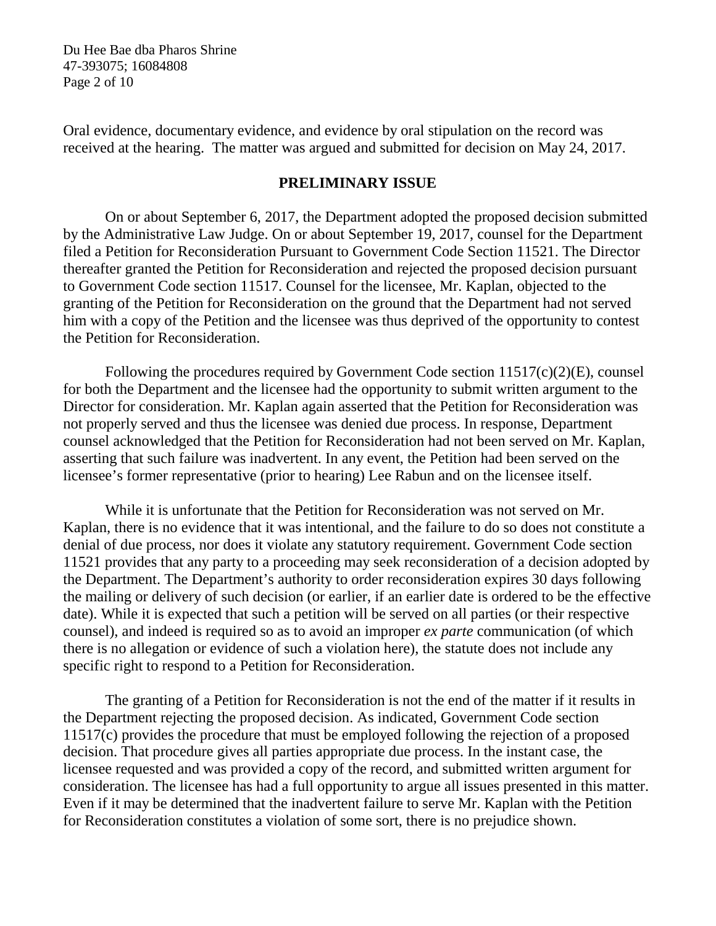Du Hee Bae dba Pharos Shrine 47-393075; 16084808 Page 2 of 10

Oral evidence, documentary evidence, and evidence by oral stipulation on the record was received at the hearing. The matter was argued and submitted for decision on May 24, 2017.

#### **PRELIMINARY ISSUE**

On or about September 6, 2017, the Department adopted the proposed decision submitted by the Administrative Law Judge. On or about September 19, 2017, counsel for the Department filed a Petition for Reconsideration Pursuant to Government Code Section 11521. The Director thereafter granted the Petition for Reconsideration and rejected the proposed decision pursuant to Government Code section 11517. Counsel for the licensee, Mr. Kaplan, objected to the granting of the Petition for Reconsideration on the ground that the Department had not served him with a copy of the Petition and the licensee was thus deprived of the opportunity to contest the Petition for Reconsideration.

Following the procedures required by Government Code section 11517(c)(2)(E), counsel for both the Department and the licensee had the opportunity to submit written argument to the Director for consideration. Mr. Kaplan again asserted that the Petition for Reconsideration was not properly served and thus the licensee was denied due process. In response, Department counsel acknowledged that the Petition for Reconsideration had not been served on Mr. Kaplan, asserting that such failure was inadvertent. In any event, the Petition had been served on the licensee's former representative (prior to hearing) Lee Rabun and on the licensee itself.

While it is unfortunate that the Petition for Reconsideration was not served on Mr. Kaplan, there is no evidence that it was intentional, and the failure to do so does not constitute a denial of due process, nor does it violate any statutory requirement. Government Code section 11521 provides that any party to a proceeding may seek reconsideration of a decision adopted by the Department. The Department's authority to order reconsideration expires 30 days following the mailing or delivery of such decision (or earlier, if an earlier date is ordered to be the effective date). While it is expected that such a petition will be served on all parties (or their respective counsel), and indeed is required so as to avoid an improper *ex parte* communication (of which there is no allegation or evidence of such a violation here), the statute does not include any specific right to respond to a Petition for Reconsideration.

The granting of a Petition for Reconsideration is not the end of the matter if it results in the Department rejecting the proposed decision. As indicated, Government Code section 11517(c) provides the procedure that must be employed following the rejection of a proposed decision. That procedure gives all parties appropriate due process. In the instant case, the licensee requested and was provided a copy of the record, and submitted written argument for consideration. The licensee has had a full opportunity to argue all issues presented in this matter. Even if it may be determined that the inadvertent failure to serve Mr. Kaplan with the Petition for Reconsideration constitutes a violation of some sort, there is no prejudice shown.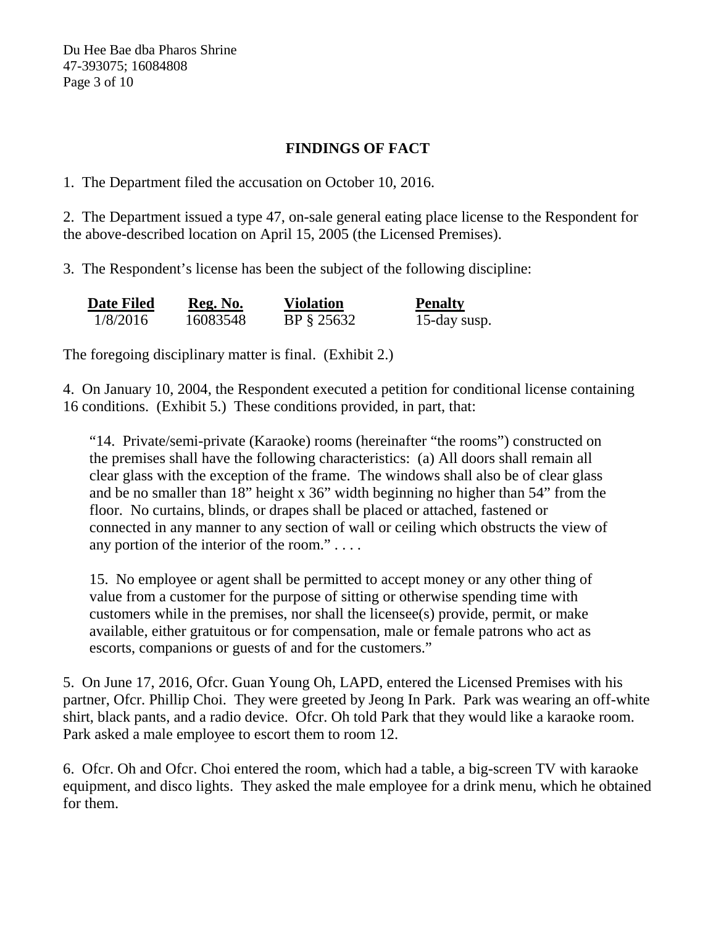Du Hee Bae dba Pharos Shrine 47-393075; 16084808 Page 3 of 10

## **FINDINGS OF FACT**

1. The Department filed the accusation on October 10, 2016.

2. The Department issued a type 47, on-sale general eating place license to the Respondent for the above-described location on April 15, 2005 (the Licensed Premises).

3. The Respondent's license has been the subject of the following discipline:

| <b>Date Filed</b> | Reg. No. | <b>Violation</b> | <b>Penalty</b> |
|-------------------|----------|------------------|----------------|
| 1/8/2016          | 16083548 | BP § 25632       | 15-day susp.   |

The foregoing disciplinary matter is final. (Exhibit 2.)

4. On January 10, 2004, the Respondent executed a petition for conditional license containing 16 conditions. (Exhibit 5.) These conditions provided, in part, that:

"14. Private/semi-private (Karaoke) rooms (hereinafter "the rooms") constructed on the premises shall have the following characteristics: (a) All doors shall remain all clear glass with the exception of the frame. The windows shall also be of clear glass and be no smaller than 18" height x 36" width beginning no higher than 54" from the floor. No curtains, blinds, or drapes shall be placed or attached, fastened or connected in any manner to any section of wall or ceiling which obstructs the view of any portion of the interior of the room." . . . .

15. No employee or agent shall be permitted to accept money or any other thing of value from a customer for the purpose of sitting or otherwise spending time with customers while in the premises, nor shall the licensee(s) provide, permit, or make available, either gratuitous or for compensation, male or female patrons who act as escorts, companions or guests of and for the customers."

5. On June 17, 2016, Ofcr. Guan Young Oh, LAPD, entered the Licensed Premises with his partner, Ofcr. Phillip Choi. They were greeted by Jeong In Park. Park was wearing an off-white shirt, black pants, and a radio device. Of cr. Oh told Park that they would like a karaoke room. Park asked a male employee to escort them to room 12.

6. Ofcr. Oh and Ofcr. Choi entered the room, which had a table, a big-screen TV with karaoke equipment, and disco lights. They asked the male employee for a drink menu, which he obtained for them.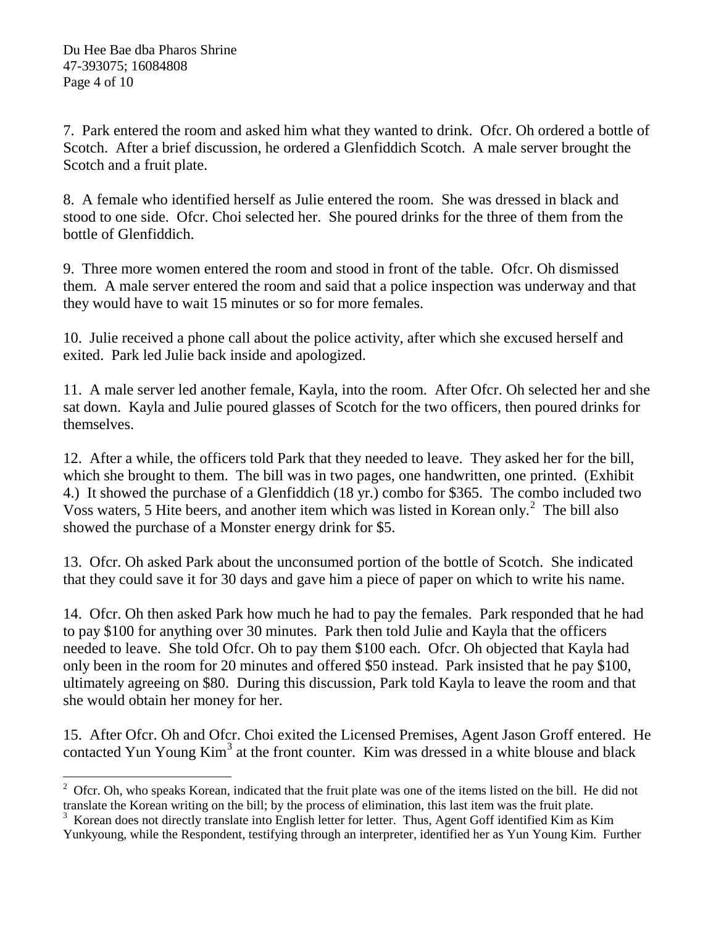7. Park entered the room and asked him what they wanted to drink. Ofcr. Oh ordered a bottle of Scotch. After a brief discussion, he ordered a Glenfiddich Scotch. A male server brought the Scotch and a fruit plate.

8. A female who identified herself as Julie entered the room. She was dressed in black and stood to one side. Ofcr. Choi selected her. She poured drinks for the three of them from the bottle of Glenfiddich.

9. Three more women entered the room and stood in front of the table. Ofcr. Oh dismissed them. A male server entered the room and said that a police inspection was underway and that they would have to wait 15 minutes or so for more females.

10. Julie received a phone call about the police activity, after which she excused herself and exited. Park led Julie back inside and apologized.

11. A male server led another female, Kayla, into the room. After Ofcr. Oh selected her and she sat down. Kayla and Julie poured glasses of Scotch for the two officers, then poured drinks for themselves.

12. After a while, the officers told Park that they needed to leave. They asked her for the bill, which she brought to them. The bill was in two pages, one handwritten, one printed. (Exhibit 4.) It showed the purchase of a Glenfiddich (18 yr.) combo for \$365. The combo included two Voss waters, 5 Hite beers, and another item which was listed in Korean only.[2](#page-4-0) The bill also showed the purchase of a Monster energy drink for \$5.

13. Ofcr. Oh asked Park about the unconsumed portion of the bottle of Scotch. She indicated that they could save it for 30 days and gave him a piece of paper on which to write his name.

14. Ofcr. Oh then asked Park how much he had to pay the females. Park responded that he had to pay \$100 for anything over 30 minutes. Park then told Julie and Kayla that the officers needed to leave. She told Ofcr. Oh to pay them \$100 each. Ofcr. Oh objected that Kayla had only been in the room for 20 minutes and offered \$50 instead. Park insisted that he pay \$100, ultimately agreeing on \$80. During this discussion, Park told Kayla to leave the room and that she would obtain her money for her.

15. After Ofcr. Oh and Ofcr. Choi exited the Licensed Premises, Agent Jason Groff entered. He contacted Yun Young  $Kim<sup>3</sup>$  at the front counter. Kim was dressed in a white blouse and black

<span id="page-4-0"></span> $2$  Ofcr. Oh, who speaks Korean, indicated that the fruit plate was one of the items listed on the bill. He did not translate the Korean writing on the bill; by the process of elimination, this last item was the fruit plate.

<span id="page-4-1"></span><sup>&</sup>lt;sup>3</sup> Korean does not directly translate into English letter for letter. Thus, Agent Goff identified Kim as Kim Yunkyoung, while the Respondent, testifying through an interpreter, identified her as Yun Young Kim. Further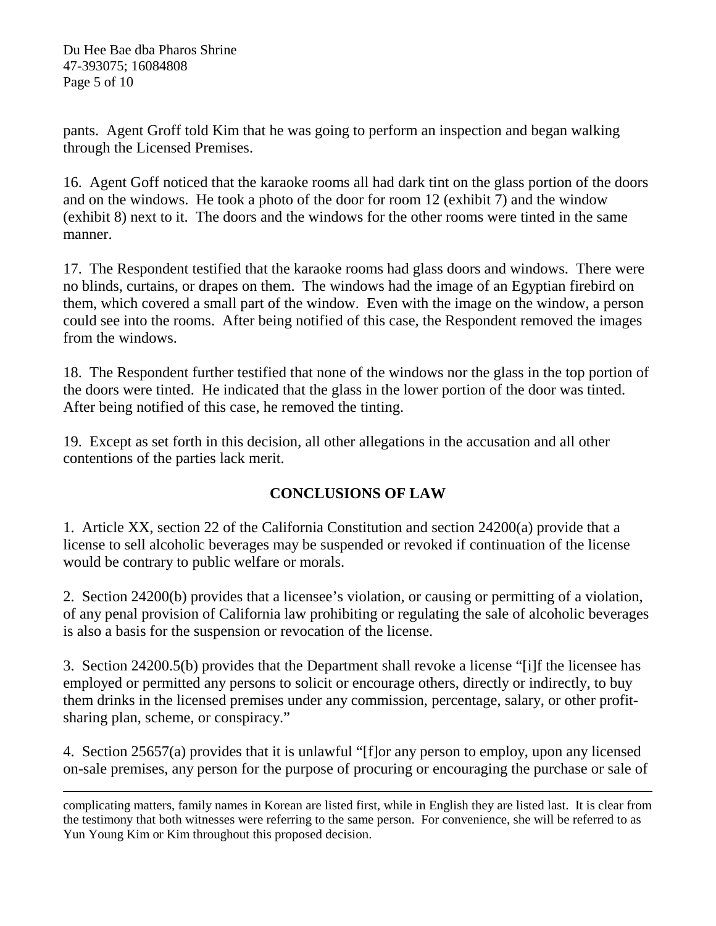pants. Agent Groff told Kim that he was going to perform an inspection and began walking through the Licensed Premises.

16. Agent Goff noticed that the karaoke rooms all had dark tint on the glass portion of the doors and on the windows. He took a photo of the door for room 12 (exhibit 7) and the window (exhibit 8) next to it. The doors and the windows for the other rooms were tinted in the same manner.

17. The Respondent testified that the karaoke rooms had glass doors and windows. There were no blinds, curtains, or drapes on them. The windows had the image of an Egyptian firebird on them, which covered a small part of the window. Even with the image on the window, a person could see into the rooms. After being notified of this case, the Respondent removed the images from the windows.

18. The Respondent further testified that none of the windows nor the glass in the top portion of the doors were tinted. He indicated that the glass in the lower portion of the door was tinted. After being notified of this case, he removed the tinting.

19. Except as set forth in this decision, all other allegations in the accusation and all other contentions of the parties lack merit.

# **CONCLUSIONS OF LAW**

1. Article XX, section 22 of the California Constitution and section 24200(a) provide that a license to sell alcoholic beverages may be suspended or revoked if continuation of the license would be contrary to public welfare or morals.

2. Section 24200(b) provides that a licensee's violation, or causing or permitting of a violation, of any penal provision of California law prohibiting or regulating the sale of alcoholic beverages is also a basis for the suspension or revocation of the license.

3. Section 24200.5(b) provides that the Department shall revoke a license "[i]f the licensee has employed or permitted any persons to solicit or encourage others, directly or indirectly, to buy them drinks in the licensed premises under any commission, percentage, salary, or other profitsharing plan, scheme, or conspiracy."

4. Section 25657(a) provides that it is unlawful "[f]or any person to employ, upon any licensed on-sale premises, any person for the purpose of procuring or encouraging the purchase or sale of

complicating matters, family names in Korean are listed first, while in English they are listed last. It is clear from the testimony that both witnesses were referring to the same person. For convenience, she will be referred to as Yun Young Kim or Kim throughout this proposed decision.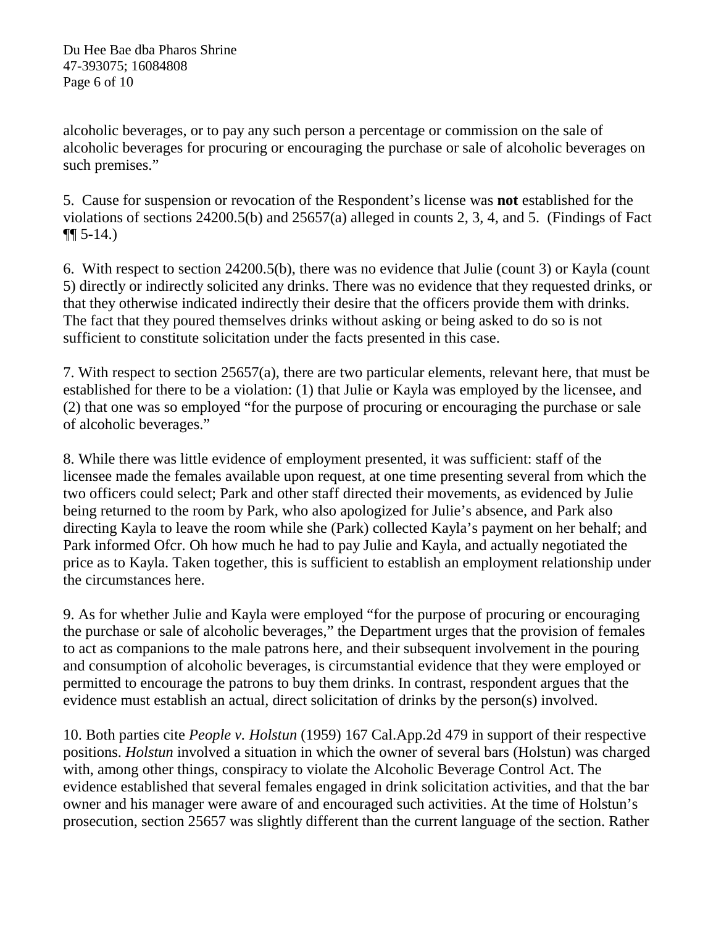alcoholic beverages, or to pay any such person a percentage or commission on the sale of alcoholic beverages for procuring or encouraging the purchase or sale of alcoholic beverages on such premises."

5. Cause for suspension or revocation of the Respondent's license was **not** established for the violations of sections 24200.5(b) and 25657(a) alleged in counts 2, 3, 4, and 5. (Findings of Fact  $\P\P$  5-14.)

6. With respect to section 24200.5(b), there was no evidence that Julie (count 3) or Kayla (count 5) directly or indirectly solicited any drinks. There was no evidence that they requested drinks, or that they otherwise indicated indirectly their desire that the officers provide them with drinks. The fact that they poured themselves drinks without asking or being asked to do so is not sufficient to constitute solicitation under the facts presented in this case.

7. With respect to section 25657(a), there are two particular elements, relevant here, that must be established for there to be a violation: (1) that Julie or Kayla was employed by the licensee, and (2) that one was so employed "for the purpose of procuring or encouraging the purchase or sale of alcoholic beverages."

8. While there was little evidence of employment presented, it was sufficient: staff of the licensee made the females available upon request, at one time presenting several from which the two officers could select; Park and other staff directed their movements, as evidenced by Julie being returned to the room by Park, who also apologized for Julie's absence, and Park also directing Kayla to leave the room while she (Park) collected Kayla's payment on her behalf; and Park informed Ofcr. Oh how much he had to pay Julie and Kayla, and actually negotiated the price as to Kayla. Taken together, this is sufficient to establish an employment relationship under the circumstances here.

9. As for whether Julie and Kayla were employed "for the purpose of procuring or encouraging the purchase or sale of alcoholic beverages," the Department urges that the provision of females to act as companions to the male patrons here, and their subsequent involvement in the pouring and consumption of alcoholic beverages, is circumstantial evidence that they were employed or permitted to encourage the patrons to buy them drinks. In contrast, respondent argues that the evidence must establish an actual, direct solicitation of drinks by the person(s) involved.

10. Both parties cite *People v. Holstun* (1959) 167 [Cal.App.2d](https://Cal.App.2d) 479 in support of their respective positions. *Holstun* involved a situation in which the owner of several bars (Holstun) was charged with, among other things, conspiracy to violate the Alcoholic Beverage Control Act. The evidence established that several females engaged in drink solicitation activities, and that the bar owner and his manager were aware of and encouraged such activities. At the time of Holstun's prosecution, section 25657 was slightly different than the current language of the section. Rather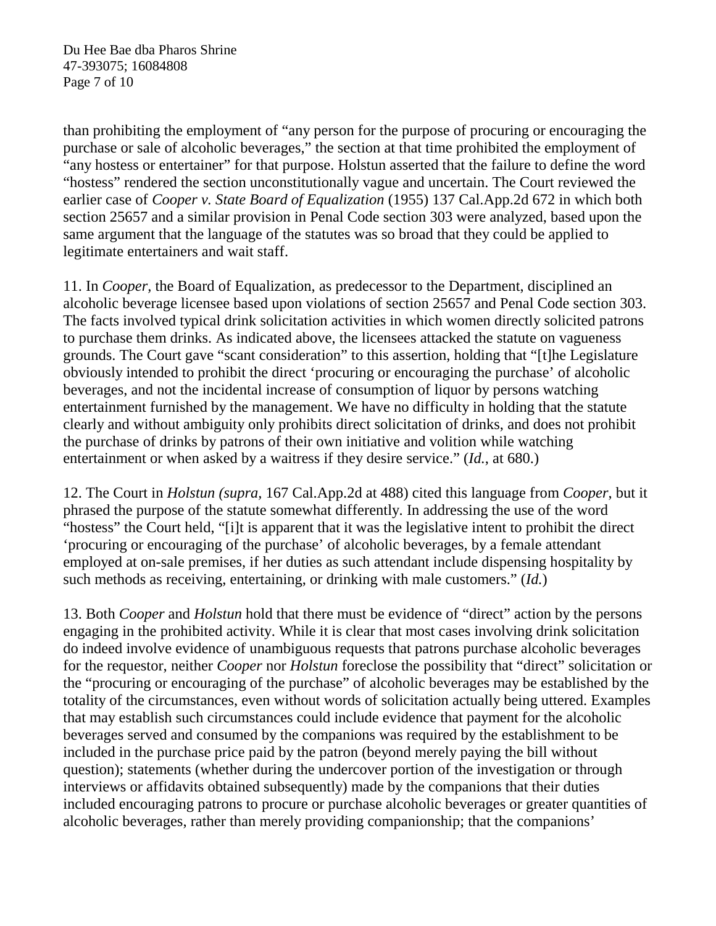Du Hee Bae dba Pharos Shrine 47-393075; 16084808 Page 7 of 10

than prohibiting the employment of "any person for the purpose of procuring or encouraging the purchase or sale of alcoholic beverages," the section at that time prohibited the employment of "any hostess or entertainer" for that purpose. Holstun asserted that the failure to define the word "hostess" rendered the section unconstitutionally vague and uncertain. The Court reviewed the earlier case of *Cooper v. State Board of Equalization* (1955) 137 [Cal.App.2d](https://Cal.App.2d) 672 in which both section 25657 and a similar provision in Penal Code section 303 were analyzed, based upon the same argument that the language of the statutes was so broad that they could be applied to legitimate entertainers and wait staff.

11. In *Cooper,* the Board of Equalization, as predecessor to the Department, disciplined an alcoholic beverage licensee based upon violations of section 25657 and Penal Code section 303. The facts involved typical drink solicitation activities in which women directly solicited patrons to purchase them drinks. As indicated above, the licensees attacked the statute on vagueness grounds. The Court gave "scant consideration" to this assertion, holding that "[t]he Legislature obviously intended to prohibit the direct 'procuring or encouraging the purchase' of alcoholic beverages, and not the incidental increase of consumption of liquor by persons watching entertainment furnished by the management. We have no difficulty in holding that the statute clearly and without ambiguity only prohibits direct solicitation of drinks, and does not prohibit the purchase of drinks by patrons of their own initiative and volition while watching entertainment or when asked by a waitress if they desire service." (*Id.*, at 680.)

12. The Court in *Holstun (supra,* 167 [Cal.App.2d](https://Cal.App.2d) at 488) cited this language from *Cooper*, but it phrased the purpose of the statute somewhat differently. In addressing the use of the word "hostess" the Court held, "[i]t is apparent that it was the legislative intent to prohibit the direct 'procuring or encouraging of the purchase' of alcoholic beverages, by a female attendant employed at on-sale premises, if her duties as such attendant include dispensing hospitality by such methods as receiving, entertaining, or drinking with male customers." (*Id.*)

13. Both *Cooper* and *Holstun* hold that there must be evidence of "direct" action by the persons engaging in the prohibited activity. While it is clear that most cases involving drink solicitation do indeed involve evidence of unambiguous requests that patrons purchase alcoholic beverages for the requestor, neither *Cooper* nor *Holstun* foreclose the possibility that "direct" solicitation or the "procuring or encouraging of the purchase" of alcoholic beverages may be established by the totality of the circumstances, even without words of solicitation actually being uttered. Examples that may establish such circumstances could include evidence that payment for the alcoholic beverages served and consumed by the companions was required by the establishment to be included in the purchase price paid by the patron (beyond merely paying the bill without question); statements (whether during the undercover portion of the investigation or through interviews or affidavits obtained subsequently) made by the companions that their duties included encouraging patrons to procure or purchase alcoholic beverages or greater quantities of alcoholic beverages, rather than merely providing companionship; that the companions'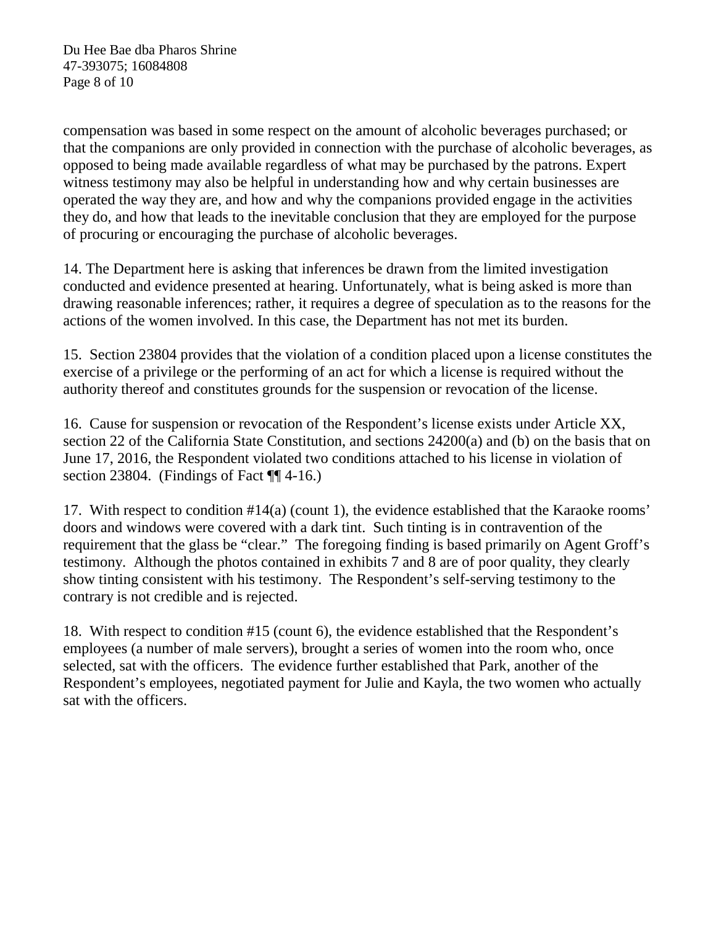Du Hee Bae dba Pharos Shrine 47-393075; 16084808 Page 8 of 10

compensation was based in some respect on the amount of alcoholic beverages purchased; or that the companions are only provided in connection with the purchase of alcoholic beverages, as opposed to being made available regardless of what may be purchased by the patrons. Expert witness testimony may also be helpful in understanding how and why certain businesses are operated the way they are, and how and why the companions provided engage in the activities they do, and how that leads to the inevitable conclusion that they are employed for the purpose of procuring or encouraging the purchase of alcoholic beverages.

14. The Department here is asking that inferences be drawn from the limited investigation conducted and evidence presented at hearing. Unfortunately, what is being asked is more than drawing reasonable inferences; rather, it requires a degree of speculation as to the reasons for the actions of the women involved. In this case, the Department has not met its burden.

15. Section 23804 provides that the violation of a condition placed upon a license constitutes the exercise of a privilege or the performing of an act for which a license is required without the authority thereof and constitutes grounds for the suspension or revocation of the license.

16. Cause for suspension or revocation of the Respondent's license exists under Article XX, section 22 of the California State Constitution, and sections 24200(a) and (b) on the basis that on June 17, 2016, the Respondent violated two conditions attached to his license in violation of section 23804. (Findings of Fact ¶ 4-16.)

17. With respect to condition #14(a) (count 1), the evidence established that the Karaoke rooms' doors and windows were covered with a dark tint. Such tinting is in contravention of the requirement that the glass be "clear." The foregoing finding is based primarily on Agent Groff's testimony. Although the photos contained in exhibits 7 and 8 are of poor quality, they clearly show tinting consistent with his testimony. The Respondent's self-serving testimony to the contrary is not credible and is rejected.

18. With respect to condition #15 (count 6), the evidence established that the Respondent's employees (a number of male servers), brought a series of women into the room who, once selected, sat with the officers. The evidence further established that Park, another of the Respondent's employees, negotiated payment for Julie and Kayla, the two women who actually sat with the officers.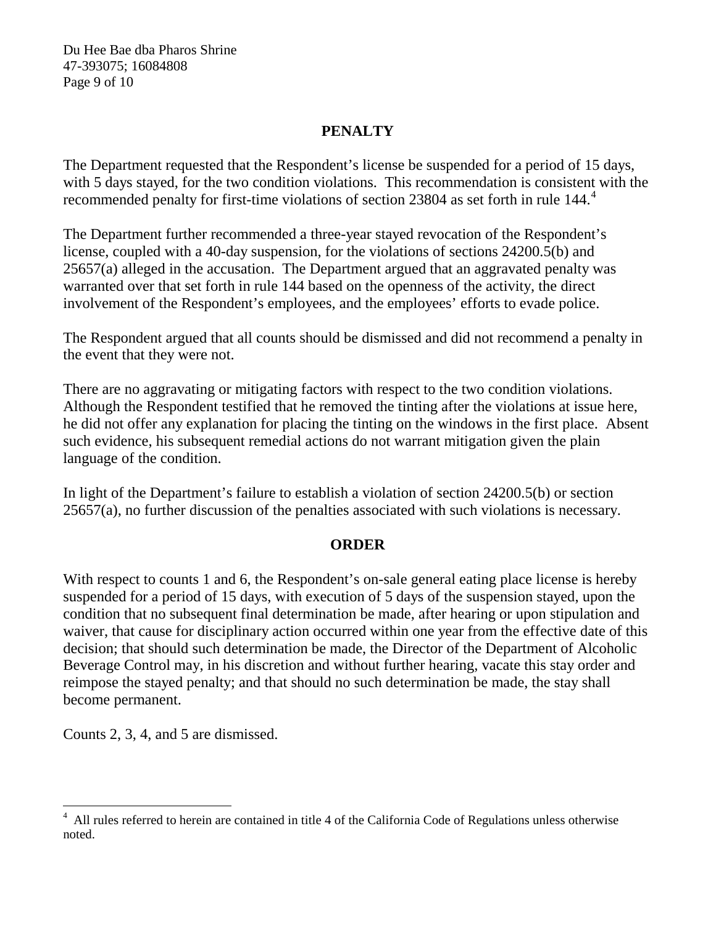Du Hee Bae dba Pharos Shrine 47-393075; 16084808 Page 9 of 10

# **PENALTY**

The Department requested that the Respondent's license be suspended for a period of 15 days, with 5 days stayed, for the two condition violations. This recommendation is consistent with the recommended penalty for first-time violations of section 2380[4](#page-9-0) as set forth in rule 144.<sup>4</sup>

The Department further recommended a three-year stayed revocation of the Respondent's license, coupled with a 40-day suspension, for the violations of sections 24200.5(b) and 25657(a) alleged in the accusation. The Department argued that an aggravated penalty was warranted over that set forth in rule 144 based on the openness of the activity, the direct involvement of the Respondent's employees, and the employees' efforts to evade police.

The Respondent argued that all counts should be dismissed and did not recommend a penalty in the event that they were not.

There are no aggravating or mitigating factors with respect to the two condition violations. Although the Respondent testified that he removed the tinting after the violations at issue here, he did not offer any explanation for placing the tinting on the windows in the first place. Absent such evidence, his subsequent remedial actions do not warrant mitigation given the plain language of the condition.

In light of the Department's failure to establish a violation of section 24200.5(b) or section 25657(a), no further discussion of the penalties associated with such violations is necessary.

## **ORDER**

With respect to counts 1 and 6, the Respondent's on-sale general eating place license is hereby suspended for a period of 15 days, with execution of 5 days of the suspension stayed, upon the condition that no subsequent final determination be made, after hearing or upon stipulation and waiver, that cause for disciplinary action occurred within one year from the effective date of this decision; that should such determination be made, the Director of the Department of Alcoholic Beverage Control may, in his discretion and without further hearing, vacate this stay order and reimpose the stayed penalty; and that should no such determination be made, the stay shall become permanent.

Counts 2, 3, 4, and 5 are dismissed.

<span id="page-9-0"></span>All rules referred to herein are contained in title 4 of the California Code of Regulations unless otherwise noted.